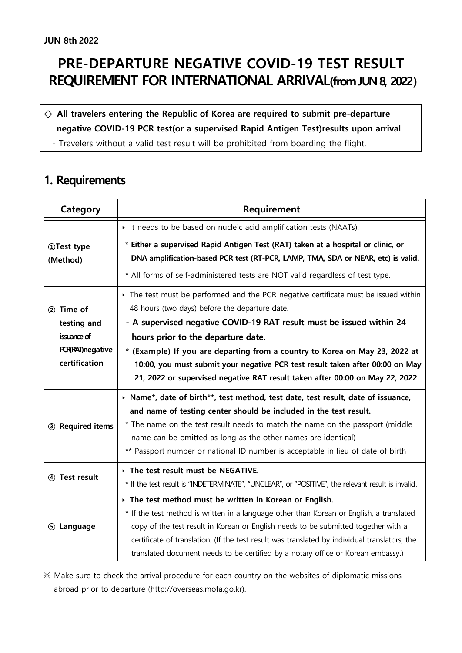## **PRE-DEPARTURE NEGATIVE COVID-19 TEST RESULT REQUIREMENT FOR INTERNATIONAL ARRIVAL(from JUN 8, 2022)**

# **◇ All travelers entering the Republic of Korea are required to submit pre-departure negative COVID-19 PCR test(or a supervised Rapid Antigen Test)results upon arrival**. - Travelers without a valid test result will be prohibited from boarding the flight.

#### **1. Requirements**

| Category                                                | Requirement                                                                                                                                                                                                                                                                                                                                                         |
|---------------------------------------------------------|---------------------------------------------------------------------------------------------------------------------------------------------------------------------------------------------------------------------------------------------------------------------------------------------------------------------------------------------------------------------|
|                                                         | It needs to be based on nucleic acid amplification tests (NAATs).                                                                                                                                                                                                                                                                                                   |
| <b>1DTest type</b><br>(Method)                          | * Either a supervised Rapid Antigen Test (RAT) taken at a hospital or clinic, or<br>DNA amplification-based PCR test (RT-PCR, LAMP, TMA, SDA or NEAR, etc) is valid.                                                                                                                                                                                                |
|                                                         | * All forms of self-administered tests are NOT valid regardless of test type.                                                                                                                                                                                                                                                                                       |
| 2 Time of                                               | The test must be performed and the PCR negative certificate must be issued within<br>48 hours (two days) before the departure date.                                                                                                                                                                                                                                 |
| testing and                                             | - A supervised negative COVID-19 RAT result must be issued within 24                                                                                                                                                                                                                                                                                                |
| issuance of<br><b>PCR(RAT)negative</b><br>certification | hours prior to the departure date.<br>* (Example) If you are departing from a country to Korea on May 23, 2022 at<br>10:00, you must submit your negative PCR test result taken after 00:00 on May<br>21, 2022 or supervised negative RAT result taken after 00:00 on May 22, 2022.                                                                                 |
| 3 Required items                                        | > Name*, date of birth**, test method, test date, test result, date of issuance,<br>and name of testing center should be included in the test result.                                                                                                                                                                                                               |
|                                                         | * The name on the test result needs to match the name on the passport (middle<br>name can be omitted as long as the other names are identical)<br>** Passport number or national ID number is acceptable in lieu of date of birth                                                                                                                                   |
| 4) Test result                                          | The test result must be NEGATIVE.<br>* If the test result is "INDETERMINATE", "UNCLEAR", or "POSITIVE", the relevant result is invalid.                                                                                                                                                                                                                             |
|                                                         | $\rightarrow$ The test method must be written in Korean or English.                                                                                                                                                                                                                                                                                                 |
| 5 Language                                              | * If the test method is written in a language other than Korean or English, a translated<br>copy of the test result in Korean or English needs to be submitted together with a<br>certificate of translation. (If the test result was translated by individual translators, the<br>translated document needs to be certified by a notary office or Korean embassy.) |

※ Make sure to check the arrival procedure for each country on the websites of diplomatic missions abroad prior to departure ([http://overseas.mofa.go.kr\)](http://overseas.mofa.go.kr).